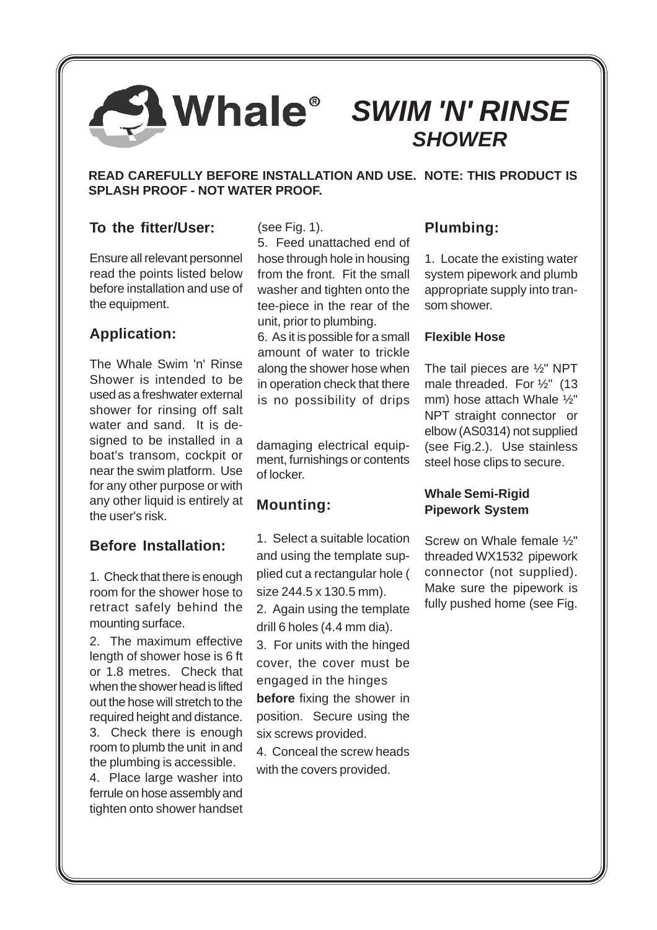# *SWIM 'N' RINSE SHOWER*

#### **READ CAREFULLY BEFORE INSTALLATION AND USE. NOTE: THIS PRODUCT IS SPLASH PROOF - NOT WATER PROOF.**

# **To the fitter/User:**

Ensure all relevant personnel read the points listed below before installation and use of the equipment.

# **Application:**

The Whale Swim 'n' Rinse Shower is intended to be used as a freshwater external shower for rinsing off salt water and sand. It is designed to be installed in a boat's transom, cockpit or near the swim platform. Use for any other purpose or with any other liquid is entirely at the user's risk.

# **Before Installation:**

1. Check that there is enough room for the shower hose to retract safely behind the mounting surface.

2. The maximum effective length of shower hose is 6 ft or 1.8 metres. Check that when the shower head is lifted out the hose will stretch to the required height and distance. 3. Check there is enough room to plumb the unit in and the plumbing is accessible.

4. Place large washer into ferrule on hose assembly and tighten onto shower handset (see Fig. 1).

5. Feed unattached end of hose through hole in housing from the front. Fit the small washer and tighten onto the tee-piece in the rear of the unit, prior to plumbing.

6. As it is possible for a small amount of water to trickle along the shower hose when in operation check that there is no possibility of drips

damaging electrical equipment, furnishings or contents of locker.

# **Mounting:**

1. Select a suitable location and using the template supplied cut a rectangular hole ( size 244.5 x 130.5 mm). 2. Again using the template drill 6 holes (4.4 mm dia).

3. For units with the hinged cover, the cover must be engaged in the hinges **before** fixing the shower in position. Secure using the six screws provided.

4. Conceal the screw heads with the covers provided.

# **Plumbing:**

1. Locate the existing water system pipework and plumb appropriate supply into transom shower.

#### **Flexible Hose**

The tail pieces are ½" NPT male threaded. For ½" (13 mm) hose attach Whale ½" NPT straight connector or elbow (AS0314) not supplied (see Fig.2.). Use stainless steel hose clips to secure.

### **Whale Semi-Rigid Pipework System**

Screw on Whale female ½" threaded WX1532 pipework connector (not supplied). Make sure the pipework is fully pushed home (see Fig.